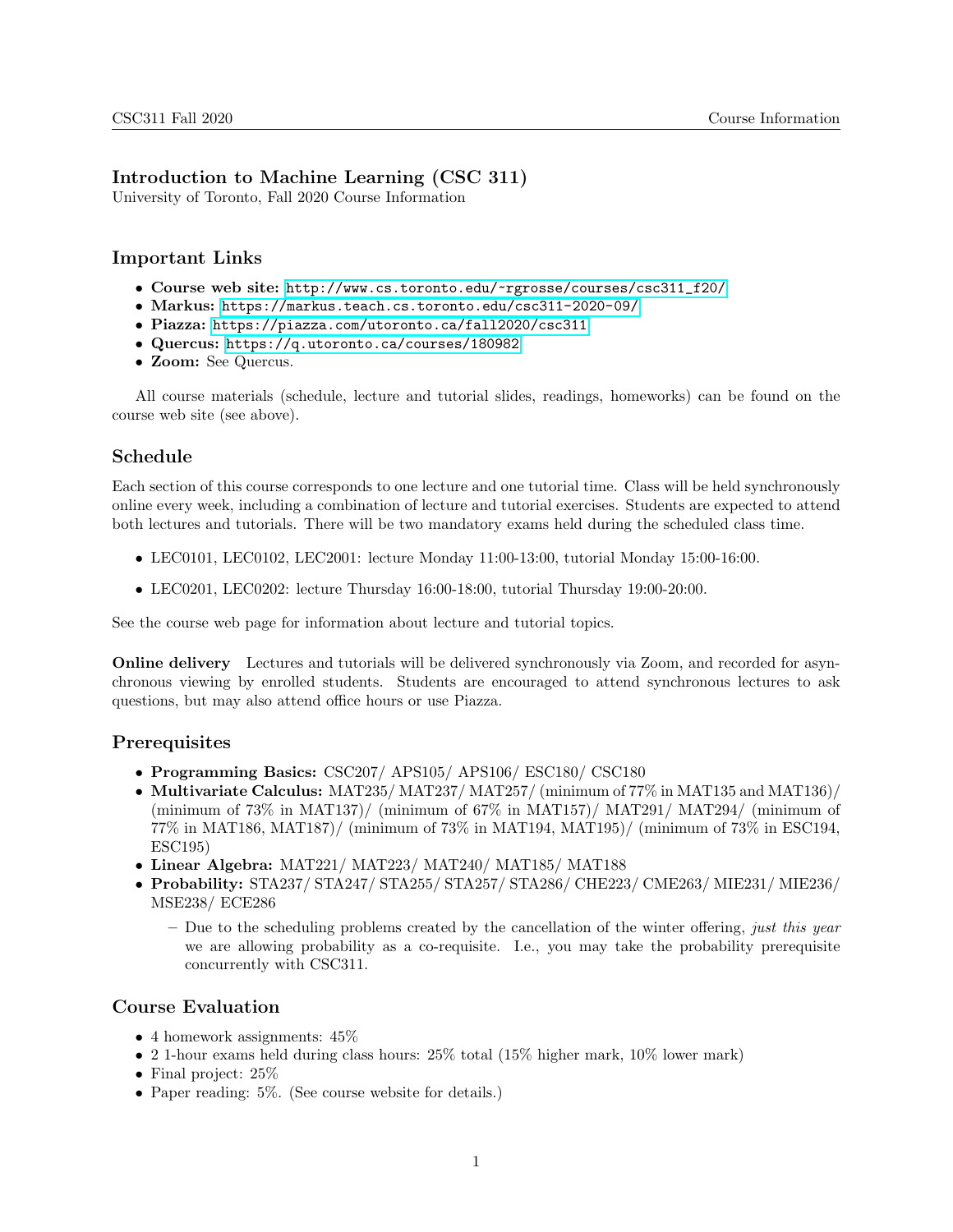## Introduction to Machine Learning (CSC 311)

University of Toronto, Fall 2020 Course Information

# Important Links

- Course web site: [http://www.cs.toronto.edu/~rgrosse/courses/csc311\\_f20/](http://www.cs.toronto.edu/~rgrosse/courses/csc311_f20/)
- Markus: <https://markus.teach.cs.toronto.edu/csc311-2020-09/>
- Piazza: <https://piazza.com/utoronto.ca/fall2020/csc311>
- Quercus: <https://q.utoronto.ca/courses/180982>
- Zoom: See Quercus.

All course materials (schedule, lecture and tutorial slides, readings, homeworks) can be found on the course web site (see above).

## Schedule

Each section of this course corresponds to one lecture and one tutorial time. Class will be held synchronously online every week, including a combination of lecture and tutorial exercises. Students are expected to attend both lectures and tutorials. There will be two mandatory exams held during the scheduled class time.

- LEC0101, LEC0102, LEC2001: lecture Monday 11:00-13:00, tutorial Monday 15:00-16:00.
- LEC0201, LEC0202: lecture Thursday 16:00-18:00, tutorial Thursday 19:00-20:00.

See the course web page for information about lecture and tutorial topics.

Online delivery Lectures and tutorials will be delivered synchronously via Zoom, and recorded for asynchronous viewing by enrolled students. Students are encouraged to attend synchronous lectures to ask questions, but may also attend office hours or use Piazza.

### **Prerequisites**

- Programming Basics: CSC207/ APS105/ APS106/ ESC180/ CSC180
- Multivariate Calculus: MAT235/ MAT237/ MAT257/ (minimum of 77% in MAT135 and MAT136)/ (minimum of  $73\%$  in MAT137)/ (minimum of  $67\%$  in MAT157)/ MAT291/ MAT294/ (minimum of 77% in MAT186, MAT187)/ (minimum of 73% in MAT194, MAT195)/ (minimum of 73% in ESC194, ESC195)
- Linear Algebra: MAT221/ MAT223/ MAT240/ MAT185/ MAT188
- Probability: STA237/ STA247/ STA255/ STA257/ STA286/ CHE223/ CME263/ MIE231/ MIE236/ MSE238/ ECE286
	- $-$  Due to the scheduling problems created by the cancellation of the winter offering, just this year we are allowing probability as a co-requisite. I.e., you may take the probability prerequisite concurrently with CSC311.

### Course Evaluation

- 4 homework assignments:  $45\%$
- 2 1-hour exams held during class hours: 25% total (15% higher mark, 10% lower mark)
- Final project:  $25\%$
- Paper reading: 5%. (See course website for details.)